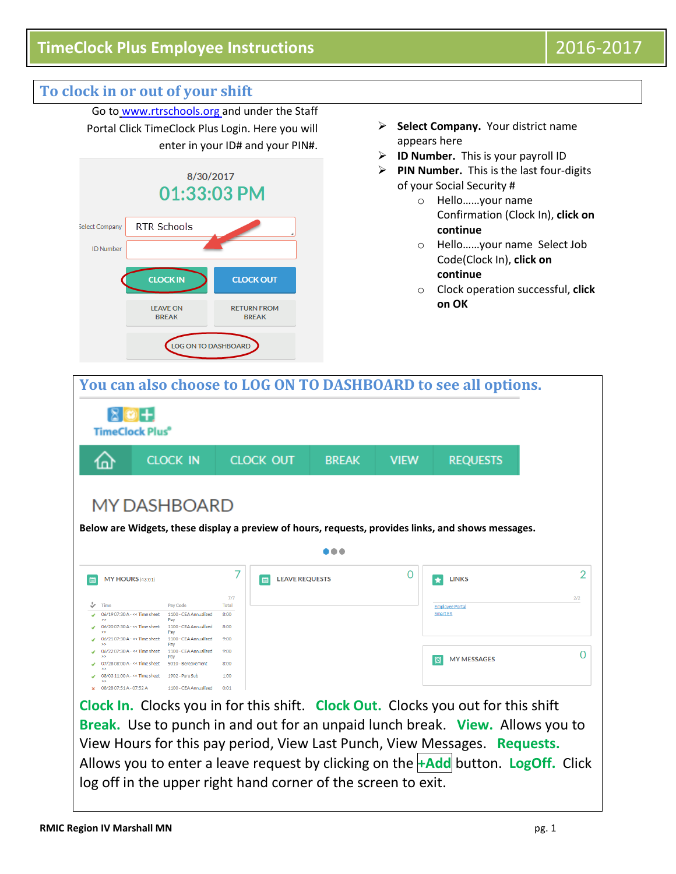# **To clock in or out of your shift**

Go to [www.rtrschools.org](http://www.rtrschools.org/) and under the Staff Portal Click TimeClock Plus Login. Here you will enter in your ID# and your PIN#.



- ➢ **Select Company.** Your district name appears here
- ➢ **ID Number.** This is your payroll ID
- ➢ **PIN Number.** This is the last four-digits of your Social Security #
	- o Hello……your name Confirmation (Clock In), **click on continue**
	- o Hello……your name Select Job Code(Clock In), **click on continue**
	- o Clock operation successful, **click on OK**

| <b>TimeClock Plus®</b>          |                                                                                                                          |                                                                                                    |              |             |                                                   |     |
|---------------------------------|--------------------------------------------------------------------------------------------------------------------------|----------------------------------------------------------------------------------------------------|--------------|-------------|---------------------------------------------------|-----|
|                                 | <b>CLOCK IN</b>                                                                                                          | <b>CLOCK OUT</b>                                                                                   | <b>BREAK</b> | <b>VIEW</b> | <b>REQUESTS</b>                                   |     |
|                                 |                                                                                                                          | Below are Widgets, these display a preview of hours, requests, provides links, and shows messages. |              |             |                                                   |     |
|                                 |                                                                                                                          |                                                                                                    |              |             |                                                   |     |
| <b>MY HOURS (43:01)</b><br>Time | Pay Code                                                                                                                 | <b>LEAVE REQUESTS</b><br>7/7<br>Total                                                              |              |             | <b>LINKS</b><br>$\star$<br><b>Employee Portal</b> |     |
| $>$<br>$\rightarrow$            | 06/19 07:30 A - << Time sheet 1100 - CEA Annualized<br>Pav<br>06/20 07:30 A - << Time sheet 1100 - CEA Annualized<br>Pav | 8:00<br>8:00                                                                                       |              |             | <b>Smart ER</b>                                   | 2/2 |
| $\rightarrow$                   | 06/2107:30 A - << Time sheet 1100 - CEA Annualized<br>Pay                                                                | 9:00                                                                                               |              |             |                                                   |     |
| $\rightarrow$                   | 06/22 07:30 A - << Time sheet 1100 - CEA Annualized<br>Pay                                                               | 9:00                                                                                               |              |             |                                                   |     |
|                                 |                                                                                                                          |                                                                                                    |              |             |                                                   |     |
|                                 | 07/28 08:00 A - << Time sheet 5010 - Bereavement                                                                         | 8:00                                                                                               |              |             | <b>MY MESSAGES</b><br> ල                          |     |

**Clock In.** Clocks you in for this shift. **Clock Out.** Clocks you out for this shift **Break.** Use to punch in and out for an unpaid lunch break. **View.** Allows you to View Hours for this pay period, View Last Punch, View Messages. **Requests.**  Allows you to enter a leave request by clicking on the **+Add** button. **LogOff.** Click log off in the upper right hand corner of the screen to exit.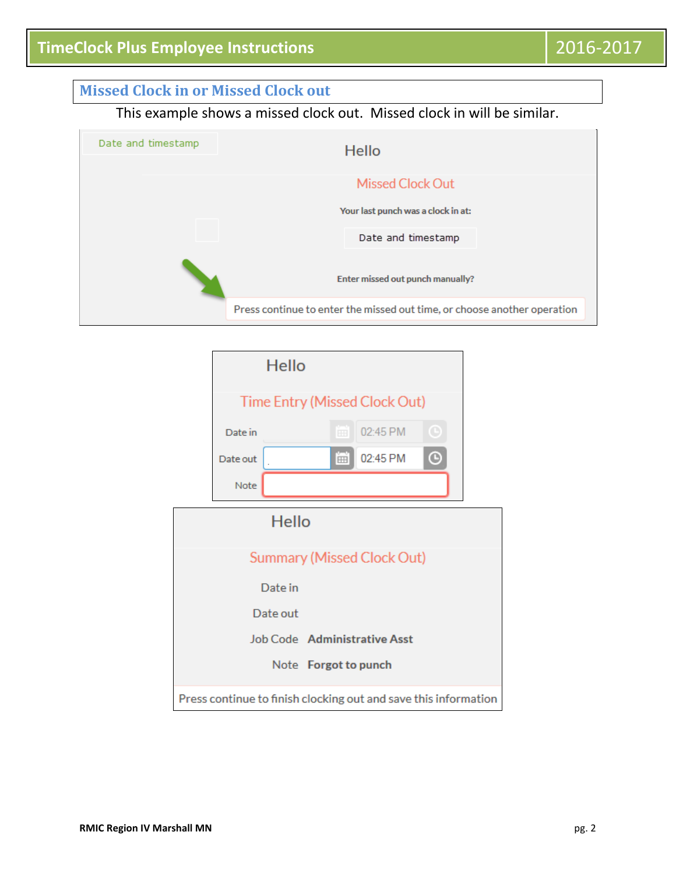## **Missed Clock in or Missed Clock out**

This example shows a missed clock out. Missed clock in will be similar.